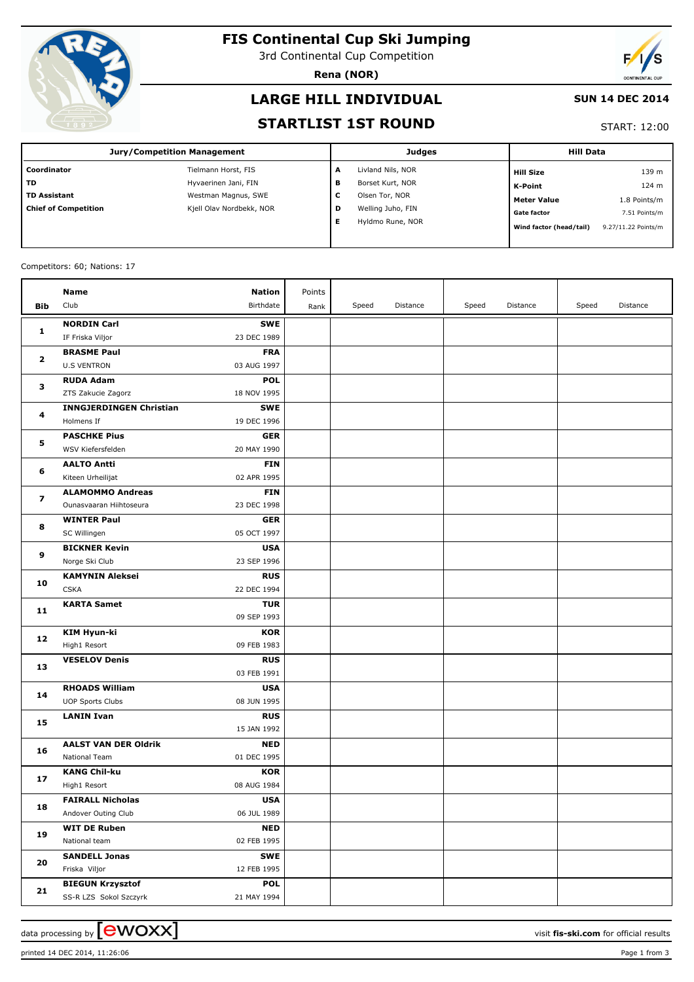

# **FIS Continental Cup Ski Jumping**

3rd Continental Cup Competition

**Rena (NOR)**



### **LARGE HILL INDIVIDUAL**

#### **SUN 14 DEC 2014**

### **STARTLIST 1ST ROUND**

#### START: 12:00

| <b>Jury/Competition Management</b>                                                | <b>Hill Data</b><br><b>Judges</b>              |
|-----------------------------------------------------------------------------------|------------------------------------------------|
| Coordinator<br>Tielmann Horst, FIS<br>Livland Nils, NOR<br>А                      | 139 m<br><b>Hill Size</b>                      |
| <b>TD</b><br>Hyvaerinen Jani, FIN<br>Borset Kurt, NOR<br>в                        | 124 m<br>K-Point                               |
| <b>TD Assistant</b><br>Westman Magnus, SWE<br>c<br>Olsen Tor, NOR                 | 1.8 Points/m<br>Meter Value                    |
| Kjell Olav Nordbekk, NOR<br>Welling Juho, FIN<br><b>Chief of Competition</b><br>D | 7.51 Points/m<br><b>Gate factor</b>            |
| Е<br>Hyldmo Rune, NOR                                                             | 9.27/11.22 Points/m<br>Wind factor (head/tail) |

#### Competitors: 60; Nations: 17

|                   | Name                           | <b>Nation</b> | Points |       |          |       |          |       |          |
|-------------------|--------------------------------|---------------|--------|-------|----------|-------|----------|-------|----------|
| Bib               | Club                           | Birthdate     | Rank   | Speed | Distance | Speed | Distance | Speed | Distance |
|                   | <b>NORDIN Carl</b>             | <b>SWE</b>    |        |       |          |       |          |       |          |
| 1                 | IF Friska Viljor               | 23 DEC 1989   |        |       |          |       |          |       |          |
| $\mathbf{z}$<br>з | <b>BRASME Paul</b>             | <b>FRA</b>    |        |       |          |       |          |       |          |
|                   | <b>U.S VENTRON</b>             | 03 AUG 1997   |        |       |          |       |          |       |          |
|                   | <b>RUDA Adam</b>               | <b>POL</b>    |        |       |          |       |          |       |          |
|                   | ZTS Zakucie Zagorz             | 18 NOV 1995   |        |       |          |       |          |       |          |
| 4                 | <b>INNGJERDINGEN Christian</b> | <b>SWE</b>    |        |       |          |       |          |       |          |
|                   | Holmens If                     | 19 DEC 1996   |        |       |          |       |          |       |          |
|                   | <b>PASCHKE Pius</b>            | <b>GER</b>    |        |       |          |       |          |       |          |
| 5                 | WSV Kiefersfelden              | 20 MAY 1990   |        |       |          |       |          |       |          |
|                   | <b>AALTO Antti</b>             | <b>FIN</b>    |        |       |          |       |          |       |          |
| 6                 | Kiteen Urheilijat              | 02 APR 1995   |        |       |          |       |          |       |          |
|                   | <b>ALAMOMMO Andreas</b>        | <b>FIN</b>    |        |       |          |       |          |       |          |
| 7                 | Ounasvaaran Hiihtoseura        | 23 DEC 1998   |        |       |          |       |          |       |          |
|                   | <b>WINTER Paul</b>             | <b>GER</b>    |        |       |          |       |          |       |          |
| 8                 | SC Willingen                   | 05 OCT 1997   |        |       |          |       |          |       |          |
| 9                 | <b>BICKNER Kevin</b>           | <b>USA</b>    |        |       |          |       |          |       |          |
|                   | Norge Ski Club                 | 23 SEP 1996   |        |       |          |       |          |       |          |
| 10                | <b>KAMYNIN Aleksei</b>         | <b>RUS</b>    |        |       |          |       |          |       |          |
|                   | <b>CSKA</b>                    | 22 DEC 1994   |        |       |          |       |          |       |          |
| 11                | <b>KARTA Samet</b>             | <b>TUR</b>    |        |       |          |       |          |       |          |
|                   |                                | 09 SEP 1993   |        |       |          |       |          |       |          |
|                   | <b>KIM Hyun-ki</b>             | <b>KOR</b>    |        |       |          |       |          |       |          |
| 12                | High1 Resort                   | 09 FEB 1983   |        |       |          |       |          |       |          |
| 13                | <b>VESELOV Denis</b>           | <b>RUS</b>    |        |       |          |       |          |       |          |
|                   |                                | 03 FEB 1991   |        |       |          |       |          |       |          |
| 14                | <b>RHOADS William</b>          | <b>USA</b>    |        |       |          |       |          |       |          |
|                   | <b>UOP Sports Clubs</b>        | 08 JUN 1995   |        |       |          |       |          |       |          |
| 15                | <b>LANIN Ivan</b>              | <b>RUS</b>    |        |       |          |       |          |       |          |
|                   |                                | 15 JAN 1992   |        |       |          |       |          |       |          |
| 16                | <b>AALST VAN DER Oldrik</b>    | <b>NED</b>    |        |       |          |       |          |       |          |
|                   | National Team                  | 01 DEC 1995   |        |       |          |       |          |       |          |
| 17                | <b>KANG Chil-ku</b>            | <b>KOR</b>    |        |       |          |       |          |       |          |
|                   | High1 Resort                   | 08 AUG 1984   |        |       |          |       |          |       |          |
| 18                | <b>FAIRALL Nicholas</b>        | <b>USA</b>    |        |       |          |       |          |       |          |
|                   | Andover Outing Club            | 06 JUL 1989   |        |       |          |       |          |       |          |
| 19                | <b>WIT DE Ruben</b>            | <b>NED</b>    |        |       |          |       |          |       |          |
|                   | National team                  | 02 FEB 1995   |        |       |          |       |          |       |          |
| 20                | <b>SANDELL Jonas</b>           | <b>SWE</b>    |        |       |          |       |          |       |          |
|                   | Friska Viljor                  | 12 FEB 1995   |        |       |          |       |          |       |          |
| 21                | <b>BIEGUN Krzysztof</b>        | <b>POL</b>    |        |       |          |       |          |       |          |
|                   | SS-R LZS Sokol Szczyrk         | 21 MAY 1994   |        |       |          |       |          |       |          |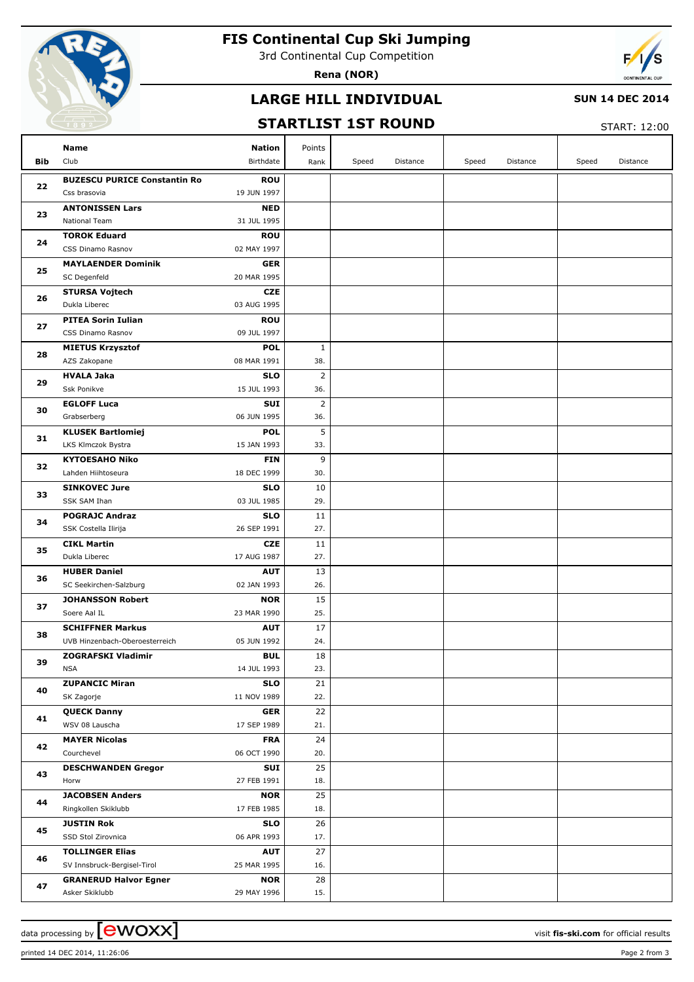

# **FIS Continental Cup Ski Jumping**

3rd Continental Cup Competition

**Rena (NOR)**



### **LARGE HILL INDIVIDUAL**

#### **SUN 14 DEC 2014**

### **STARTLIST 1ST ROUND**

START: 12:00

|     | Name<br><b>Nation</b>                                             | Points         |                   |                   |                   |
|-----|-------------------------------------------------------------------|----------------|-------------------|-------------------|-------------------|
| Bib | Club<br>Birthdate                                                 | Rank           | Speed<br>Distance | Speed<br>Distance | Speed<br>Distance |
|     | <b>BUZESCU PURICE Constantin Ro</b><br><b>ROU</b>                 |                |                   |                   |                   |
| 22  | Css brasovia<br>19 JUN 1997                                       |                |                   |                   |                   |
| 23  | <b>ANTONISSEN Lars</b><br><b>NED</b>                              |                |                   |                   |                   |
|     | National Team<br>31 JUL 1995                                      |                |                   |                   |                   |
| 24  | <b>TOROK Eduard</b><br><b>ROU</b>                                 |                |                   |                   |                   |
|     | CSS Dinamo Rasnov<br>02 MAY 1997                                  |                |                   |                   |                   |
| 25  | <b>MAYLAENDER Dominik</b><br><b>GER</b>                           |                |                   |                   |                   |
|     | SC Degenfeld<br>20 MAR 1995                                       |                |                   |                   |                   |
| 26  | <b>STURSA Vojtech</b><br><b>CZE</b>                               |                |                   |                   |                   |
|     | Dukla Liberec<br>03 AUG 1995                                      |                |                   |                   |                   |
| 27  | <b>PITEA Sorin Iulian</b><br><b>ROU</b>                           |                |                   |                   |                   |
|     | CSS Dinamo Rasnov<br>09 JUL 1997                                  |                |                   |                   |                   |
| 28  | <b>MIETUS Krzysztof</b><br><b>POL</b>                             | 1              |                   |                   |                   |
|     | AZS Zakopane<br>08 MAR 1991                                       | 38.            |                   |                   |                   |
| 29  | <b>HVALA Jaka</b><br><b>SLO</b>                                   | $\overline{2}$ |                   |                   |                   |
|     | Ssk Ponikve<br>15 JUL 1993                                        | 36.            |                   |                   |                   |
| 30  | <b>EGLOFF Luca</b><br>SUI                                         | $\overline{2}$ |                   |                   |                   |
|     | Grabserberg<br>06 JUN 1995                                        | 36.            |                   |                   |                   |
| 31  | <b>KLUSEK Bartlomiej</b><br><b>POL</b>                            | 5              |                   |                   |                   |
|     | LKS Klmczok Bystra<br>15 JAN 1993                                 | 33.            |                   |                   |                   |
| 32  | <b>KYTOESAHO Niko</b><br><b>FIN</b>                               | 9              |                   |                   |                   |
| 33  | Lahden Hiihtoseura<br>18 DEC 1999                                 | 30.            |                   |                   |                   |
|     | <b>SINKOVEC Jure</b><br><b>SLO</b><br>SSK SAM Ihan<br>03 JUL 1985 | 10<br>29.      |                   |                   |                   |
|     | <b>POGRAJC Andraz</b><br><b>SLO</b>                               | 11             |                   |                   |                   |
| 34  | SSK Costella Ilirija<br>26 SEP 1991                               | 27.            |                   |                   |                   |
|     | <b>CIKL Martin</b><br><b>CZE</b>                                  | 11             |                   |                   |                   |
| 35  | Dukla Liberec<br>17 AUG 1987                                      | 27.            |                   |                   |                   |
|     | <b>HUBER Daniel</b><br><b>AUT</b>                                 | 13             |                   |                   |                   |
| 36  | SC Seekirchen-Salzburg<br>02 JAN 1993                             | 26.            |                   |                   |                   |
|     | <b>JOHANSSON Robert</b><br><b>NOR</b>                             | 15             |                   |                   |                   |
| 37  | Soere Aal IL<br>23 MAR 1990                                       | 25.            |                   |                   |                   |
|     | <b>SCHIFFNER Markus</b><br><b>AUT</b>                             | 17             |                   |                   |                   |
| 38  | 05 JUN 1992<br>UVB Hinzenbach-Oberoesterreich                     | 24.            |                   |                   |                   |
|     | ZOGRAFSKI Vladimir<br><b>BUL</b>                                  | 18             |                   |                   |                   |
| 39  | <b>NSA</b><br>14 JUL 1993                                         | 23.            |                   |                   |                   |
| 40  | <b>ZUPANCIC Miran</b><br><b>SLO</b>                               | 21             |                   |                   |                   |
|     | 11 NOV 1989<br>SK Zagorje                                         | 22.            |                   |                   |                   |
| 41  | <b>QUECK Danny</b><br><b>GER</b>                                  | 22             |                   |                   |                   |
|     | WSV 08 Lauscha<br>17 SEP 1989                                     | 21.            |                   |                   |                   |
|     | <b>MAYER Nicolas</b><br><b>FRA</b>                                | 24             |                   |                   |                   |
| 42  | Courchevel<br>06 OCT 1990                                         | 20.            |                   |                   |                   |
| 43  | <b>DESCHWANDEN Gregor</b>                                         | 25<br>SUI      |                   |                   |                   |
|     | 27 FEB 1991<br>Horw                                               | 18.            |                   |                   |                   |
| 44  | <b>JACOBSEN Anders</b><br><b>NOR</b>                              | 25             |                   |                   |                   |
|     | Ringkollen Skiklubb<br>17 FEB 1985                                | 18.            |                   |                   |                   |
| 45  | <b>JUSTIN Rok</b><br><b>SLO</b>                                   | 26             |                   |                   |                   |
|     | SSD Stol Zirovnica<br>06 APR 1993                                 | 17.            |                   |                   |                   |
| 46  | <b>TOLLINGER Elias</b><br><b>AUT</b>                              | 27             |                   |                   |                   |
|     | SV Innsbruck-Bergisel-Tirol<br>25 MAR 1995                        | 16.            |                   |                   |                   |
| 47  | <b>GRANERUD Halvor Egner</b><br><b>NOR</b>                        | 28             |                   |                   |                   |
|     | 29 MAY 1996<br>Asker Skiklubb                                     | 15.            |                   |                   |                   |